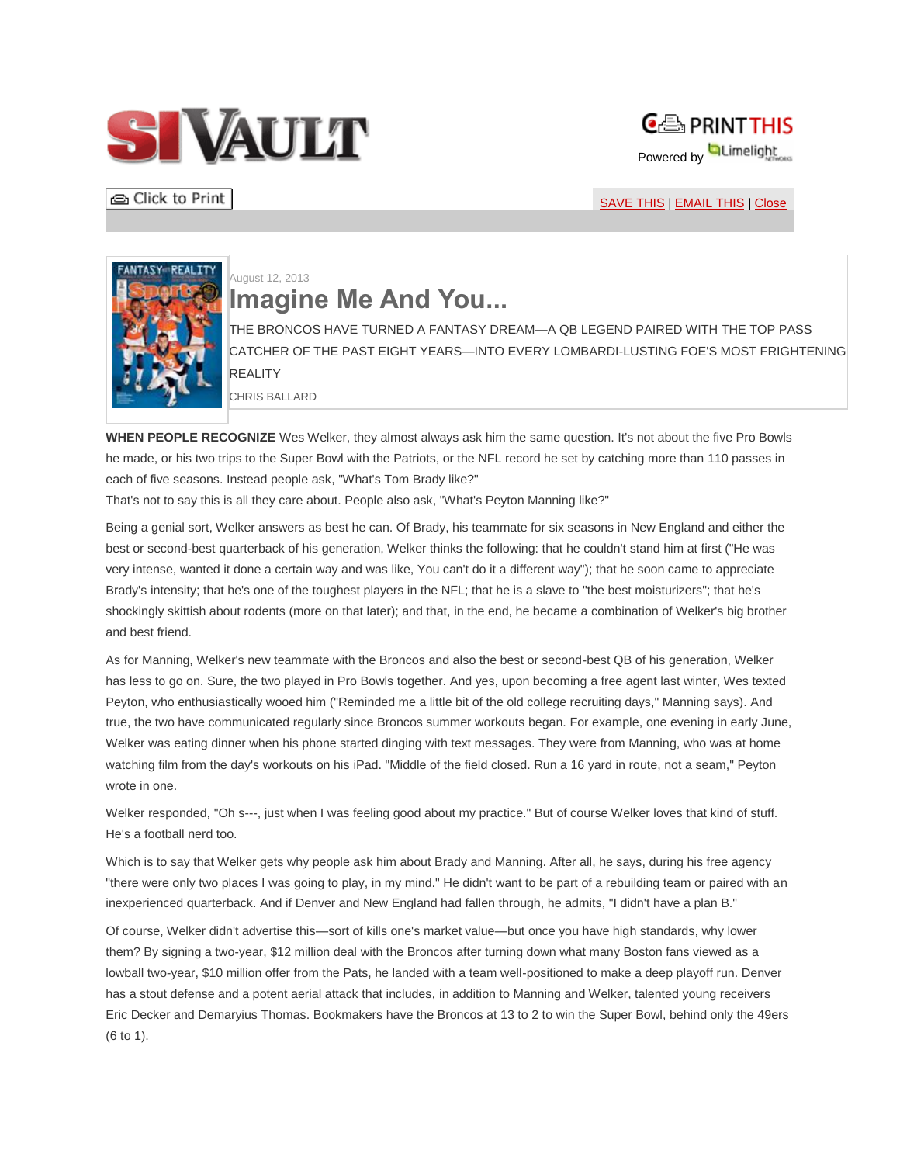



**△** Click to Print

[SAVE THIS](javascript:void(open() | [EMAIL THIS](javascript:void(open() | [Close](javascript:self.close();)



## August 12, 2013 **Imagine Me And You...**

THE BRONCOS HAVE TURNED A FANTASY DREAM—A QB LEGEND PAIRED WITH THE TOP PASS CATCHER OF THE PAST EIGHT YEARS—INTO EVERY LOMBARDI-LUSTING FOE'S MOST FRIGHTENING **REALITY** 

CHRIS BALLARD

**WHEN PEOPLE RECOGNIZE** Wes Welker, they almost always ask him the same question. It's not about the five Pro Bowls he made, or his two trips to the Super Bowl with the Patriots, or the NFL record he set by catching more than 110 passes in each of five seasons. Instead people ask, "What's Tom Brady like?"

That's not to say this is all they care about. People also ask, "What's Peyton Manning like?"

Being a genial sort, Welker answers as best he can. Of Brady, his teammate for six seasons in New England and either the best or second-best quarterback of his generation, Welker thinks the following: that he couldn't stand him at first ("He was very intense, wanted it done a certain way and was like, You can't do it a different way"); that he soon came to appreciate Brady's intensity; that he's one of the toughest players in the NFL; that he is a slave to "the best moisturizers"; that he's shockingly skittish about rodents (more on that later); and that, in the end, he became a combination of Welker's big brother and best friend.

As for Manning, Welker's new teammate with the Broncos and also the best or second-best QB of his generation, Welker has less to go on. Sure, the two played in Pro Bowls together. And yes, upon becoming a free agent last winter, Wes texted Peyton, who enthusiastically wooed him ("Reminded me a little bit of the old college recruiting days," Manning says). And true, the two have communicated regularly since Broncos summer workouts began. For example, one evening in early June, Welker was eating dinner when his phone started dinging with text messages. They were from Manning, who was at home watching film from the day's workouts on his iPad. "Middle of the field closed. Run a 16 yard in route, not a seam," Peyton wrote in one.

Welker responded, "Oh s---, just when I was feeling good about my practice." But of course Welker loves that kind of stuff. He's a football nerd too.

Which is to say that Welker gets why people ask him about Brady and Manning. After all, he says, during his free agency "there were only two places I was going to play, in my mind." He didn't want to be part of a rebuilding team or paired with an inexperienced quarterback. And if Denver and New England had fallen through, he admits, "I didn't have a plan B."

Of course, Welker didn't advertise this—sort of kills one's market value—but once you have high standards, why lower them? By signing a two-year, \$12 million deal with the Broncos after turning down what many Boston fans viewed as a lowball two-year, \$10 million offer from the Pats, he landed with a team well-positioned to make a deep playoff run. Denver has a stout defense and a potent aerial attack that includes, in addition to Manning and Welker, talented young receivers Eric Decker and Demaryius Thomas. Bookmakers have the Broncos at 13 to 2 to win the Super Bowl, behind only the 49ers (6 to 1).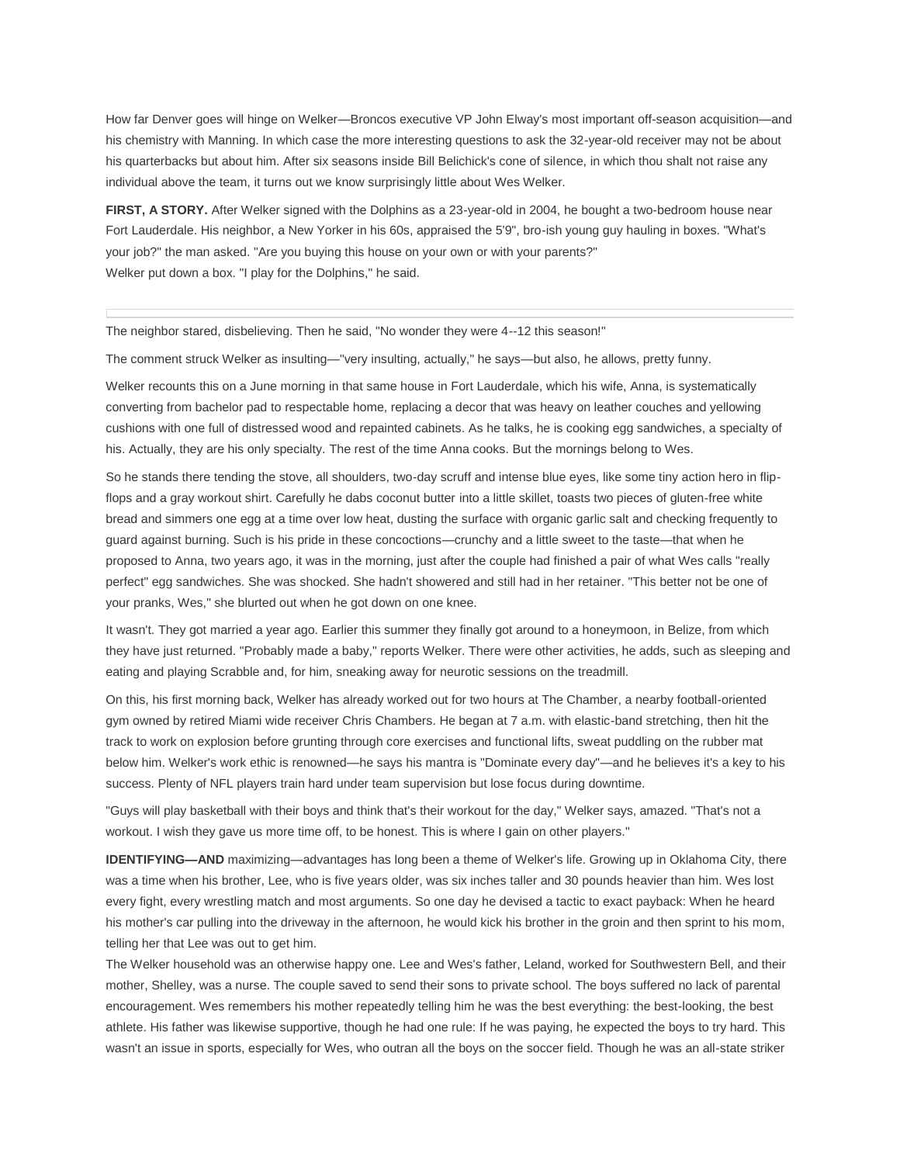How far Denver goes will hinge on Welker—Broncos executive VP John Elway's most important off-season acquisition—and his chemistry with Manning. In which case the more interesting questions to ask the 32-year-old receiver may not be about his quarterbacks but about him. After six seasons inside Bill Belichick's cone of silence, in which thou shalt not raise any individual above the team, it turns out we know surprisingly little about Wes Welker.

**FIRST, A STORY.** After Welker signed with the Dolphins as a 23-year-old in 2004, he bought a two-bedroom house near Fort Lauderdale. His neighbor, a New Yorker in his 60s, appraised the 5'9", bro-ish young guy hauling in boxes. "What's your job?" the man asked. "Are you buying this house on your own or with your parents?" Welker put down a box. "I play for the Dolphins," he said.

The neighbor stared, disbelieving. Then he said, "No wonder they were 4--12 this season!"

The comment struck Welker as insulting—"very insulting, actually," he says—but also, he allows, pretty funny.

Welker recounts this on a June morning in that same house in Fort Lauderdale, which his wife, Anna, is systematically converting from bachelor pad to respectable home, replacing a decor that was heavy on leather couches and yellowing cushions with one full of distressed wood and repainted cabinets. As he talks, he is cooking egg sandwiches, a specialty of his. Actually, they are his only specialty. The rest of the time Anna cooks. But the mornings belong to Wes.

So he stands there tending the stove, all shoulders, two-day scruff and intense blue eyes, like some tiny action hero in flipflops and a gray workout shirt. Carefully he dabs coconut butter into a little skillet, toasts two pieces of gluten-free white bread and simmers one egg at a time over low heat, dusting the surface with organic garlic salt and checking frequently to guard against burning. Such is his pride in these concoctions—crunchy and a little sweet to the taste—that when he proposed to Anna, two years ago, it was in the morning, just after the couple had finished a pair of what Wes calls "really perfect" egg sandwiches. She was shocked. She hadn't showered and still had in her retainer. "This better not be one of your pranks, Wes," she blurted out when he got down on one knee.

It wasn't. They got married a year ago. Earlier this summer they finally got around to a honeymoon, in Belize, from which they have just returned. "Probably made a baby," reports Welker. There were other activities, he adds, such as sleeping and eating and playing Scrabble and, for him, sneaking away for neurotic sessions on the treadmill.

On this, his first morning back, Welker has already worked out for two hours at The Chamber, a nearby football-oriented gym owned by retired Miami wide receiver Chris Chambers. He began at 7 a.m. with elastic-band stretching, then hit the track to work on explosion before grunting through core exercises and functional lifts, sweat puddling on the rubber mat below him. Welker's work ethic is renowned—he says his mantra is "Dominate every day"—and he believes it's a key to his success. Plenty of NFL players train hard under team supervision but lose focus during downtime.

"Guys will play basketball with their boys and think that's their workout for the day," Welker says, amazed. "That's not a workout. I wish they gave us more time off, to be honest. This is where I gain on other players."

**IDENTIFYING—AND** maximizing—advantages has long been a theme of Welker's life. Growing up in Oklahoma City, there was a time when his brother, Lee, who is five years older, was six inches taller and 30 pounds heavier than him. Wes lost every fight, every wrestling match and most arguments. So one day he devised a tactic to exact payback: When he heard his mother's car pulling into the driveway in the afternoon, he would kick his brother in the groin and then sprint to his mom, telling her that Lee was out to get him.

The Welker household was an otherwise happy one. Lee and Wes's father, Leland, worked for Southwestern Bell, and their mother, Shelley, was a nurse. The couple saved to send their sons to private school. The boys suffered no lack of parental encouragement. Wes remembers his mother repeatedly telling him he was the best everything: the best-looking, the best athlete. His father was likewise supportive, though he had one rule: If he was paying, he expected the boys to try hard. This wasn't an issue in sports, especially for Wes, who outran all the boys on the soccer field. Though he was an all-state striker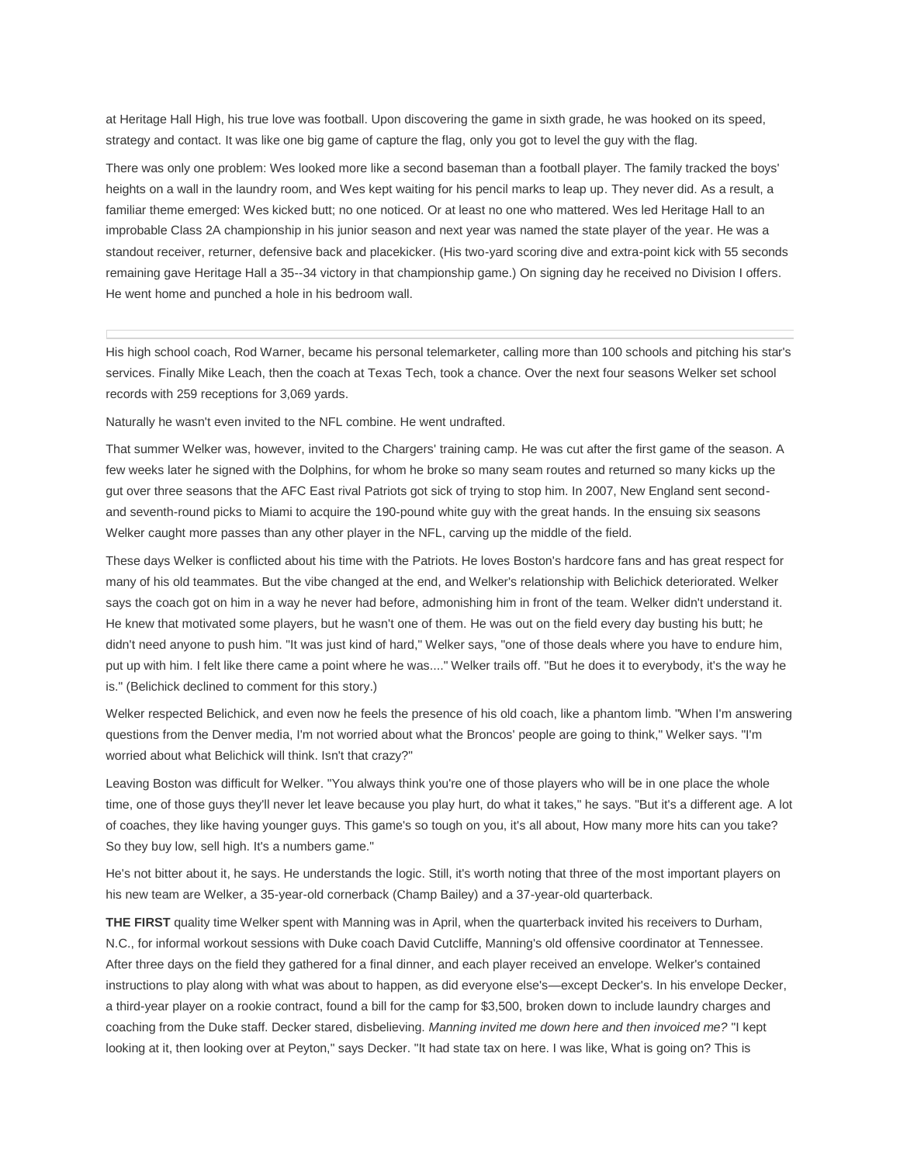at Heritage Hall High, his true love was football. Upon discovering the game in sixth grade, he was hooked on its speed, strategy and contact. It was like one big game of capture the flag, only you got to level the guy with the flag.

There was only one problem: Wes looked more like a second baseman than a football player. The family tracked the boys' heights on a wall in the laundry room, and Wes kept waiting for his pencil marks to leap up. They never did. As a result, a familiar theme emerged: Wes kicked butt; no one noticed. Or at least no one who mattered. Wes led Heritage Hall to an improbable Class 2A championship in his junior season and next year was named the state player of the year. He was a standout receiver, returner, defensive back and placekicker. (His two-yard scoring dive and extra-point kick with 55 seconds remaining gave Heritage Hall a 35--34 victory in that championship game.) On signing day he received no Division I offers. He went home and punched a hole in his bedroom wall.

His high school coach, Rod Warner, became his personal telemarketer, calling more than 100 schools and pitching his star's services. Finally Mike Leach, then the coach at Texas Tech, took a chance. Over the next four seasons Welker set school records with 259 receptions for 3,069 yards.

Naturally he wasn't even invited to the NFL combine. He went undrafted.

That summer Welker was, however, invited to the Chargers' training camp. He was cut after the first game of the season. A few weeks later he signed with the Dolphins, for whom he broke so many seam routes and returned so many kicks up the gut over three seasons that the AFC East rival Patriots got sick of trying to stop him. In 2007, New England sent secondand seventh-round picks to Miami to acquire the 190-pound white guy with the great hands. In the ensuing six seasons Welker caught more passes than any other player in the NFL, carving up the middle of the field.

These days Welker is conflicted about his time with the Patriots. He loves Boston's hardcore fans and has great respect for many of his old teammates. But the vibe changed at the end, and Welker's relationship with Belichick deteriorated. Welker says the coach got on him in a way he never had before, admonishing him in front of the team. Welker didn't understand it. He knew that motivated some players, but he wasn't one of them. He was out on the field every day busting his butt; he didn't need anyone to push him. "It was just kind of hard," Welker says, "one of those deals where you have to endure him, put up with him. I felt like there came a point where he was...." Welker trails off. "But he does it to everybody, it's the way he is." (Belichick declined to comment for this story.)

Welker respected Belichick, and even now he feels the presence of his old coach, like a phantom limb. "When I'm answering questions from the Denver media, I'm not worried about what the Broncos' people are going to think," Welker says. "I'm worried about what Belichick will think. Isn't that crazy?"

Leaving Boston was difficult for Welker. "You always think you're one of those players who will be in one place the whole time, one of those guys they'll never let leave because you play hurt, do what it takes," he says. "But it's a different age. A lot of coaches, they like having younger guys. This game's so tough on you, it's all about, How many more hits can you take? So they buy low, sell high. It's a numbers game."

He's not bitter about it, he says. He understands the logic. Still, it's worth noting that three of the most important players on his new team are Welker, a 35-year-old cornerback (Champ Bailey) and a 37-year-old quarterback.

**THE FIRST** quality time Welker spent with Manning was in April, when the quarterback invited his receivers to Durham, N.C., for informal workout sessions with Duke coach David Cutcliffe, Manning's old offensive coordinator at Tennessee. After three days on the field they gathered for a final dinner, and each player received an envelope. Welker's contained instructions to play along with what was about to happen, as did everyone else's—except Decker's. In his envelope Decker, a third-year player on a rookie contract, found a bill for the camp for \$3,500, broken down to include laundry charges and coaching from the Duke staff. Decker stared, disbelieving. *Manning invited me down here and then invoiced me?* "I kept looking at it, then looking over at Peyton," says Decker. "It had state tax on here. I was like, What is going on? This is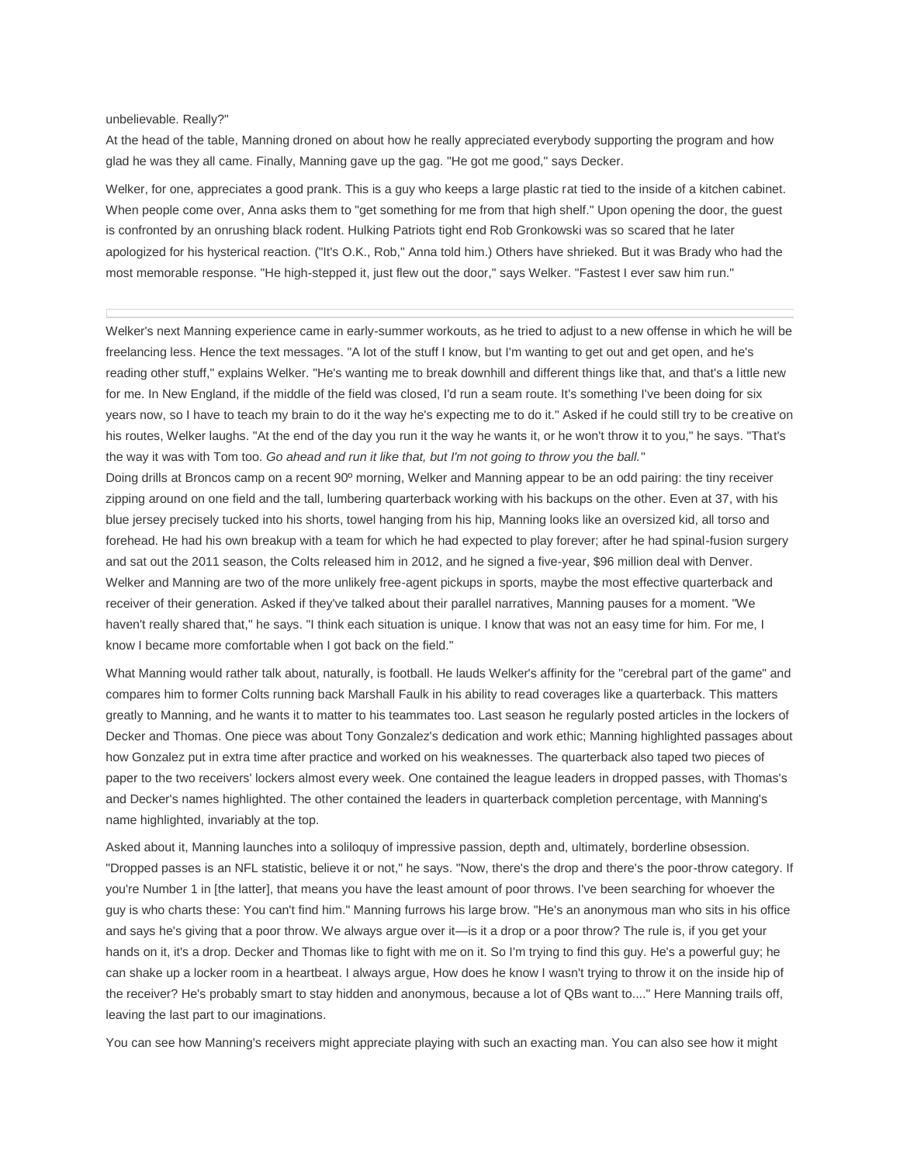## unbelievable. Really?"

At the head of the table, Manning droned on about how he really appreciated everybody supporting the program and how glad he was they all came. Finally, Manning gave up the gag. "He got me good," says Decker.

Welker, for one, appreciates a good prank. This is a guy who keeps a large plastic rat tied to the inside of a kitchen cabinet. When people come over, Anna asks them to "get something for me from that high shelf." Upon opening the door, the quest is confronted by an onrushing black rodent. Hulking Patriots tight end Rob Gronkowski was so scared that he later apologized for his hysterical reaction. ("It's O.K., Rob," Anna told him.) Others have shrieked. But it was Brady who had the most memorable response. "He high-stepped it, just flew out the door," says Welker. "Fastest I ever saw him run."

Welker's next Manning experience came in early-summer workouts, as he tried to adjust to a new offense in which he will be freelancing less. Hence the text messages. "A lot of the stuff I know, but I'm wanting to get out and get open, and he's reading other stuff," explains Welker. "He's wanting me to break downhill and different things like that, and that's a little new for me. In New England, if the middle of the field was closed, I'd run a seam route. It's something I've been doing for six years now, so I have to teach my brain to do it the way he's expecting me to do it." Asked if he could still try to be creative on his routes, Welker laughs. "At the end of the day you run it the way he wants it, or he won't throw it to you," he says. "That's the way it was with Tom too. *Go ahead and run it like that, but I'm not going to throw you the ball.*"

Doing drills at Broncos camp on a recent 90º morning, Welker and Manning appear to be an odd pairing: the tiny receiver zipping around on one field and the tall, lumbering quarterback working with his backups on the other. Even at 37, with his blue jersey precisely tucked into his shorts, towel hanging from his hip, Manning looks like an oversized kid, all torso and forehead. He had his own breakup with a team for which he had expected to play forever; after he had spinal-fusion surgery and sat out the 2011 season, the Colts released him in 2012, and he signed a five-year, \$96 million deal with Denver. Welker and Manning are two of the more unlikely free-agent pickups in sports, maybe the most effective quarterback and receiver of their generation. Asked if they've talked about their parallel narratives, Manning pauses for a moment. "We haven't really shared that," he says. "I think each situation is unique. I know that was not an easy time for him. For me, I know I became more comfortable when I got back on the field."

What Manning would rather talk about, naturally, is football. He lauds Welker's affinity for the "cerebral part of the game" and compares him to former Colts running back Marshall Faulk in his ability to read coverages like a quarterback. This matters greatly to Manning, and he wants it to matter to his teammates too. Last season he regularly posted articles in the lockers of Decker and Thomas. One piece was about Tony Gonzalez's dedication and work ethic; Manning highlighted passages about how Gonzalez put in extra time after practice and worked on his weaknesses. The quarterback also taped two pieces of paper to the two receivers' lockers almost every week. One contained the league leaders in dropped passes, with Thomas's and Decker's names highlighted. The other contained the leaders in quarterback completion percentage, with Manning's name highlighted, invariably at the top.

Asked about it, Manning launches into a soliloquy of impressive passion, depth and, ultimately, borderline obsession. "Dropped passes is an NFL statistic, believe it or not," he says. "Now, there's the drop and there's the poor-throw category. If you're Number 1 in [the latter], that means you have the least amount of poor throws. I've been searching for whoever the guy is who charts these: You can't find him." Manning furrows his large brow. "He's an anonymous man who sits in his office and says he's giving that a poor throw. We always argue over it—is it a drop or a poor throw? The rule is, if you get your hands on it, it's a drop. Decker and Thomas like to fight with me on it. So I'm trying to find this guy. He's a powerful guy; he can shake up a locker room in a heartbeat. I always argue, How does he know I wasn't trying to throw it on the inside hip of the receiver? He's probably smart to stay hidden and anonymous, because a lot of QBs want to...." Here Manning trails off, leaving the last part to our imaginations.

You can see how Manning's receivers might appreciate playing with such an exacting man. You can also see how it might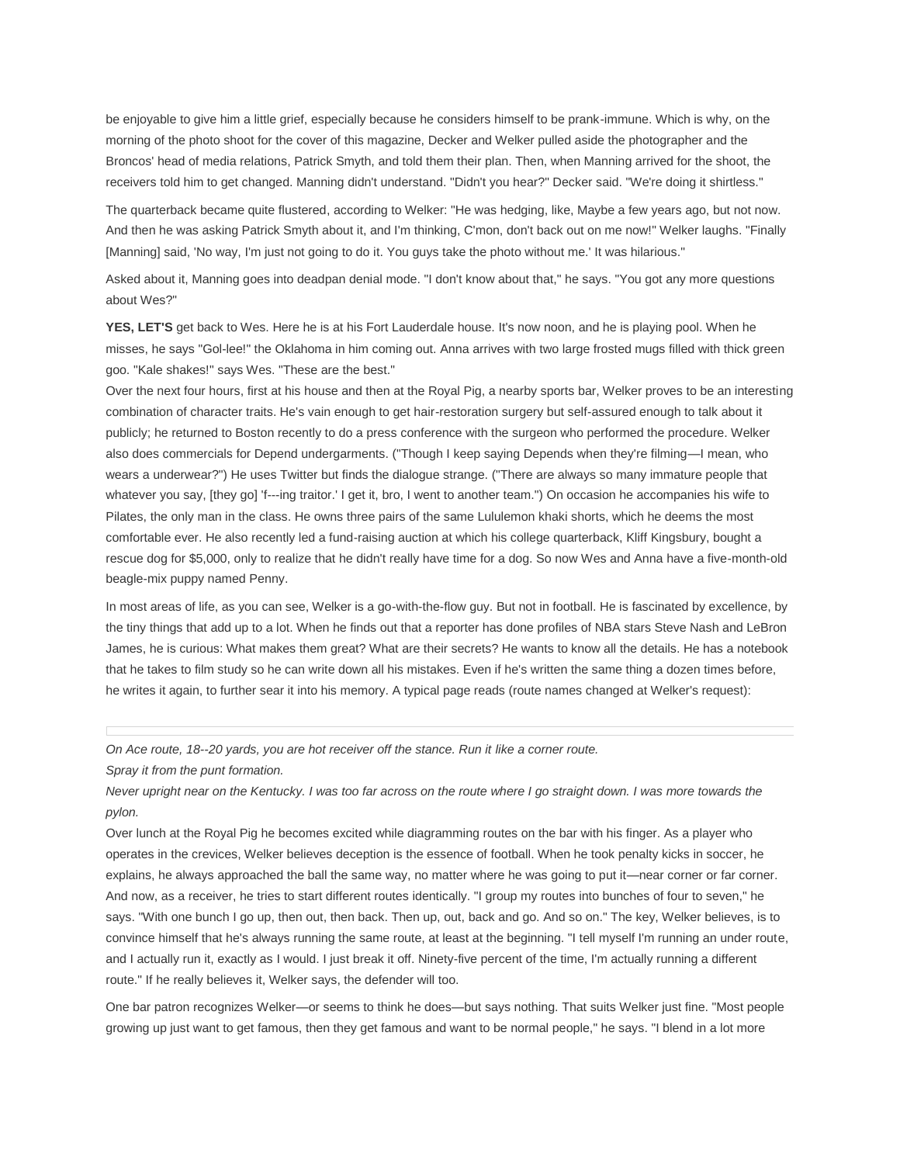be enjoyable to give him a little grief, especially because he considers himself to be prank-immune. Which is why, on the morning of the photo shoot for the cover of this magazine, Decker and Welker pulled aside the photographer and the Broncos' head of media relations, Patrick Smyth, and told them their plan. Then, when Manning arrived for the shoot, the receivers told him to get changed. Manning didn't understand. "Didn't you hear?" Decker said. "We're doing it shirtless."

The quarterback became quite flustered, according to Welker: "He was hedging, like, Maybe a few years ago, but not now. And then he was asking Patrick Smyth about it, and I'm thinking, C'mon, don't back out on me now!" Welker laughs. "Finally [Manning] said, 'No way, I'm just not going to do it. You guys take the photo without me.' It was hilarious."

Asked about it, Manning goes into deadpan denial mode. "I don't know about that," he says. "You got any more questions about Wes?"

**YES, LET'S** get back to Wes. Here he is at his Fort Lauderdale house. It's now noon, and he is playing pool. When he misses, he says "Gol-lee!" the Oklahoma in him coming out. Anna arrives with two large frosted mugs filled with thick green goo. "Kale shakes!" says Wes. "These are the best."

Over the next four hours, first at his house and then at the Royal Pig, a nearby sports bar, Welker proves to be an interesting combination of character traits. He's vain enough to get hair-restoration surgery but self-assured enough to talk about it publicly; he returned to Boston recently to do a press conference with the surgeon who performed the procedure. Welker also does commercials for Depend undergarments. ("Though I keep saying Depends when they're filming—I mean, who wears a underwear?") He uses Twitter but finds the dialogue strange. ("There are always so many immature people that whatever you say, [they go] 'f---ing traitor.' I get it, bro, I went to another team.") On occasion he accompanies his wife to Pilates, the only man in the class. He owns three pairs of the same Lululemon khaki shorts, which he deems the most comfortable ever. He also recently led a fund-raising auction at which his college quarterback, Kliff Kingsbury, bought a rescue dog for \$5,000, only to realize that he didn't really have time for a dog. So now Wes and Anna have a five-month-old beagle-mix puppy named Penny.

In most areas of life, as you can see, Welker is a go-with-the-flow guy. But not in football. He is fascinated by excellence, by the tiny things that add up to a lot. When he finds out that a reporter has done profiles of NBA stars Steve Nash and LeBron James, he is curious: What makes them great? What are their secrets? He wants to know all the details. He has a notebook that he takes to film study so he can write down all his mistakes. Even if he's written the same thing a dozen times before, he writes it again, to further sear it into his memory. A typical page reads (route names changed at Welker's request):

*On Ace route, 18--20 yards, you are hot receiver off the stance. Run it like a corner route.*

*Spray it from the punt formation.*

*Never upright near on the Kentucky. I was too far across on the route where I go straight down. I was more towards the pylon.*

Over lunch at the Royal Pig he becomes excited while diagramming routes on the bar with his finger. As a player who operates in the crevices, Welker believes deception is the essence of football. When he took penalty kicks in soccer, he explains, he always approached the ball the same way, no matter where he was going to put it—near corner or far corner. And now, as a receiver, he tries to start different routes identically. "I group my routes into bunches of four to seven," he says. "With one bunch I go up, then out, then back. Then up, out, back and go. And so on." The key, Welker believes, is to convince himself that he's always running the same route, at least at the beginning. "I tell myself I'm running an under route, and I actually run it, exactly as I would. I just break it off. Ninety-five percent of the time, I'm actually running a different route." If he really believes it, Welker says, the defender will too.

One bar patron recognizes Welker—or seems to think he does—but says nothing. That suits Welker just fine. "Most people growing up just want to get famous, then they get famous and want to be normal people," he says. "I blend in a lot more